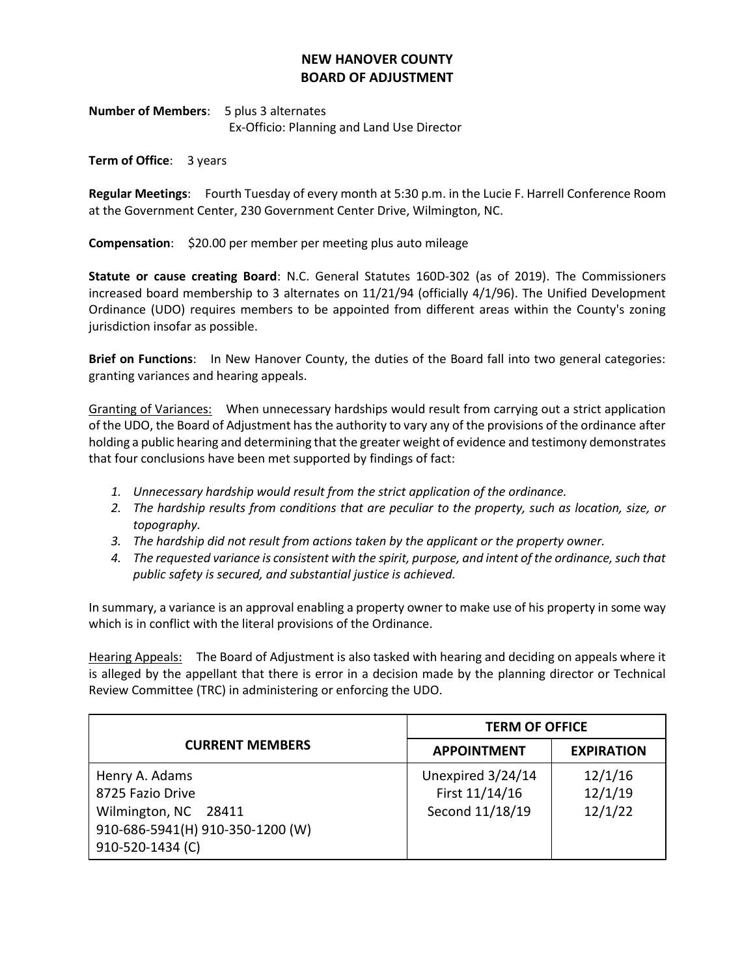## **NEW HANOVER COUNTY BOARD OF ADJUSTMENT**

**Number of Members**: 5 plus 3 alternates Ex-Officio: Planning and Land Use Director

**Term of Office**: 3 years

**Regular Meetings**: Fourth Tuesday of every month at 5:30 p.m. in the Lucie F. Harrell Conference Room at the Government Center, 230 Government Center Drive, Wilmington, NC.

**Compensation**: \$20.00 per member per meeting plus auto mileage

**Statute or cause creating Board**: N.C. General Statutes 160D-302 (as of 2019). The Commissioners increased board membership to 3 alternates on 11/21/94 (officially 4/1/96). The Unified Development Ordinance (UDO) requires members to be appointed from different areas within the County's zoning jurisdiction insofar as possible.

**Brief on Functions**: In New Hanover County, the duties of the Board fall into two general categories: granting variances and hearing appeals.

Granting of Variances: When unnecessary hardships would result from carrying out a strict application of the UDO, the Board of Adjustment has the authority to vary any of the provisions of the ordinance after holding a public hearing and determining that the greater weight of evidence and testimony demonstrates that four conclusions have been met supported by findings of fact:

- *1. Unnecessary hardship would result from the strict application of the ordinance.*
- *2. The hardship results from conditions that are peculiar to the property, such as location, size, or topography.*
- *3. The hardship did not result from actions taken by the applicant or the property owner.*
- *4. The requested variance is consistent with the spirit, purpose, and intent of the ordinance, such that public safety is secured, and substantial justice is achieved.*

In summary, a variance is an approval enabling a property owner to make use of his property in some way which is in conflict with the literal provisions of the Ordinance.

Hearing Appeals: The Board of Adjustment is also tasked with hearing and deciding on appeals where it is alleged by the appellant that there is error in a decision made by the planning director or Technical Review Committee (TRC) in administering or enforcing the UDO.

|                                  | <b>TERM OF OFFICE</b> |                   |
|----------------------------------|-----------------------|-------------------|
| <b>CURRENT MEMBERS</b>           | <b>APPOINTMENT</b>    | <b>EXPIRATION</b> |
| Henry A. Adams                   | Unexpired 3/24/14     | 12/1/16           |
| 8725 Fazio Drive                 | First 11/14/16        | 12/1/19           |
| Wilmington, NC 28411             | Second 11/18/19       | 12/1/22           |
| 910-686-5941(H) 910-350-1200 (W) |                       |                   |
| 910-520-1434 (C)                 |                       |                   |